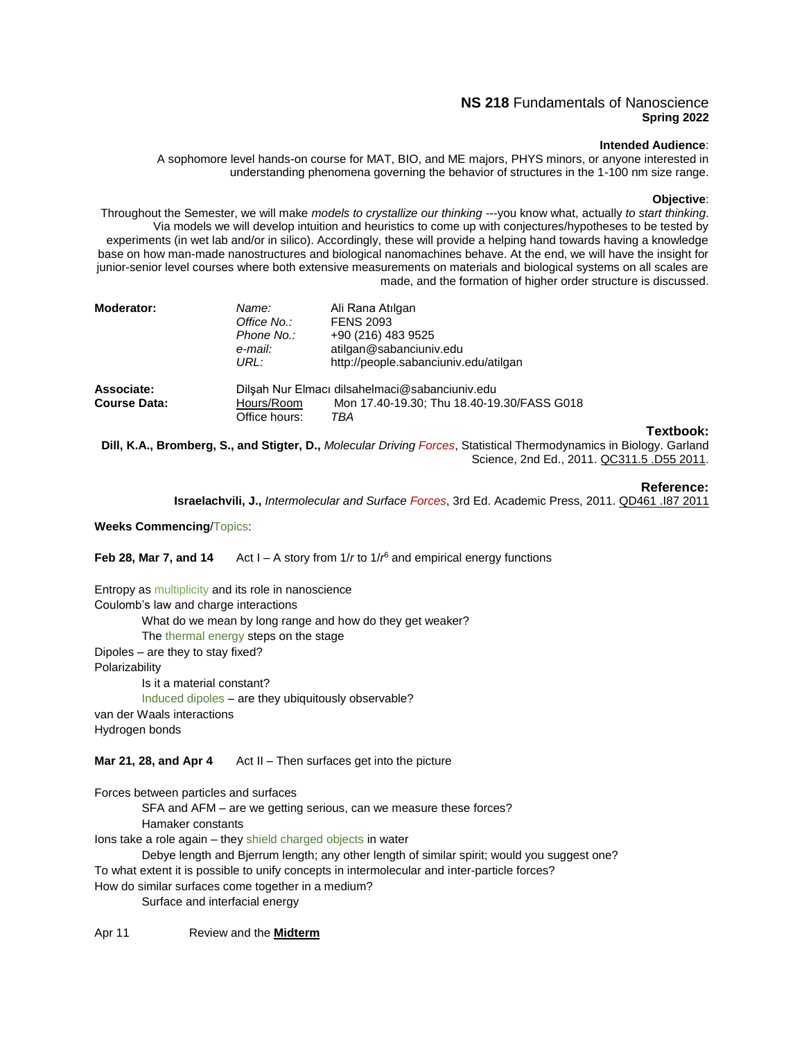# **NS 218** Fundamentals of Nanoscience **Spring 2022**

# **Intended Audience**:

A sophomore level hands-on course for MAT, BIO, and ME majors, PHYS minors, or anyone interested in understanding phenomena governing the behavior of structures in the 1-100 nm size range.

### **Objective**:

Throughout the Semester, we will make *models to crystallize our thinking* ---you know what, actually *to start thinking*. Via models we will develop intuition and heuristics to come up with conjectures/hypotheses to be tested by experiments (in wet lab and/or in silico). Accordingly, these will provide a helping hand towards having a knowledge base on how man-made nanostructures and biological nanomachines behave. At the end, we will have the insight for junior-senior level courses where both extensive measurements on materials and biological systems on all scales are made, and the formation of higher order structure is discussed.

| <b>Moderator:</b> | Name:<br>Office No.:<br>Phone No.:<br>e-mail:<br>URL: | Ali Rana Atılgan<br><b>FENS 2093</b><br>+90 (216) 483 9525<br>atilgan@sabanciuniv.edu<br>http://people.sabanciuniv.edu/atilgan |           |
|-------------------|-------------------------------------------------------|--------------------------------------------------------------------------------------------------------------------------------|-----------|
| Associate:        |                                                       |                                                                                                                                |           |
|                   |                                                       | Dilşah Nur Elmacı dilsahelmaci@sabanciuniv.edu                                                                                 |           |
| Course Data:      | Hours/Room                                            | Mon 17.40-19.30; Thu 18.40-19.30/FASS G018                                                                                     |           |
|                   | Office hours:                                         | TBA                                                                                                                            |           |
|                   |                                                       |                                                                                                                                | Textbook: |
| <b>DUITE</b>      |                                                       | Description C. and Citates, D., Malacular Driving Ferrer, Citatistical Thomas dimension in Dialogue Carlored                   |           |

**Dill, K.A., Bromberg, S., and Stigter, D.,** *Molecular Driving Forces*, Statistical Thermodynamics in Biology. Garland Science, 2nd Ed., 2011. QC311.5 .D55 2011.

#### **Reference:**

**Israelachvili, J.,** *Intermolecular and Surface Forces*, 3rd Ed. Academic Press, 2011. QD461 .I87 2011

**Weeks Commencing**/Topics:

**Feb 28, Mar 7, and 14** Act I – A story from 1/r to 1/r<sup>6</sup> and empirical energy functions

Entropy as multiplicity and its role in nanoscience Coulomb's law and charge interactions What do we mean by long range and how do they get weaker? The thermal energy steps on the stage Dipoles – are they to stay fixed? Polarizability Is it a material constant?

Induced dipoles – are they ubiquitously observable? van der Waals interactions Hydrogen bonds

**Mar 21, 28, and Apr 4** Act II – Then surfaces get into the picture

Forces between particles and surfaces

SFA and AFM – are we getting serious, can we measure these forces?

Hamaker constants

Ions take a role again – they shield charged objects in water

Debye length and Bjerrum length; any other length of similar spirit; would you suggest one? To what extent it is possible to unify concepts in intermolecular and inter-particle forces?

How do similar surfaces come together in a medium?

Surface and interfacial energy

Apr 11 Review and the **Midterm**